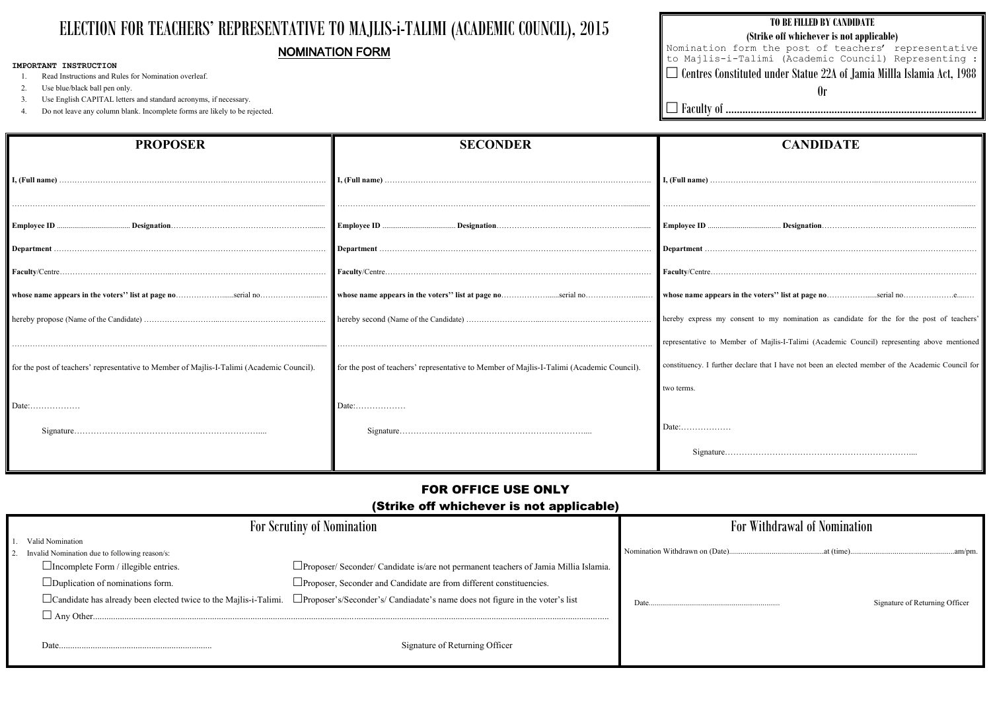# ELECTION FOR TEACHERS' REPRESENTATIVE TO MAJLIS-i-TALIMI (ACADEMIC COUNCIL), 2015 NOMINATION FORM

#### **IMPORTANT INSTRUCTION**

1. Read Instructions and Rules for Nomination overleaf.

2. Use blue/black ball pen only.

3. Use English CAPITAL letters and standard acronyms, if necessary.

4. Do not leave any column blank. Incomplete forms are likely to be rejected.

## **TO BE FILLED BY CANDIDATE (Strike off whichever is not applicable)**  Nomination form the post of teachers' representative to Majlis-i-Talimi (Academic Council) Representing :  $\Box$  Centres Constituted under Statue 22A of Jamia MillIa Islamia Act, 1988 Or

Faculty of ..........................................................................................

**I, (Full name)** ………………………………….……………………..……………..…………………. ………………………………………………………………………………………………….............. **Employee ID** ...................................... **Designation**………………………………………………........ **Department** ………………….………………………………………………………………………… **Faculty**/Centre……………………………………..…………………………………………………… **he voters'' list at page no**………………..serial no………………...e....... ent to my nomination as candidate for the for the post of teachers' of Majlis-I-Talimi (Academic Council) representing above mentioned lare that I have not been an elected member of the Academic Council for

| <b>PROPOSER</b>                                                                           | <b>SECONDER</b>                                                                           |                              |
|-------------------------------------------------------------------------------------------|-------------------------------------------------------------------------------------------|------------------------------|
|                                                                                           |                                                                                           | I, (Full name) $\dots$       |
|                                                                                           |                                                                                           | Employee ID                  |
|                                                                                           |                                                                                           | Department                   |
|                                                                                           |                                                                                           | Faculty/Centre               |
| whose name appears in the voters" list at page noserial no                                |                                                                                           | whose name appears in th     |
|                                                                                           |                                                                                           | hereby express my conse      |
|                                                                                           |                                                                                           | representative to Member     |
| for the post of teachers' representative to Member of Majlis-I-Talimi (Academic Council). | for the post of teachers' representative to Member of Majlis-I-Talimi (Academic Council). | constituency. I further decl |
|                                                                                           |                                                                                           | two terms.                   |
|                                                                                           | Date:                                                                                     |                              |
|                                                                                           |                                                                                           | Date:                        |
|                                                                                           |                                                                                           | Signature                    |
|                                                                                           |                                                                                           |                              |

## **CANDIDATE**

Signature…………………………………………………………....

# **Withdrawal of Nomination**

# FOR OFFICE USE ONLY

## (Strike off whichever is not applicable)

| <b>For Scrutiny of Nomination</b> |                                                                         | For                                                                                   |                                |
|-----------------------------------|-------------------------------------------------------------------------|---------------------------------------------------------------------------------------|--------------------------------|
|                                   | Valid Nomination<br>Invalid Nomination due to following reason/s:       |                                                                                       | Nomination Withdrawn on (Date) |
|                                   | $\Box$ Incomplete Form / illegible entries.                             | □Proposer/ Seconder/ Candidate is/are not permanent teachers of Jamia Millia Islamia. |                                |
|                                   | $\Box$ Duplication of nominations form.                                 | $\Box$ Proposer, Seconder and Candidate are from different constituencies.            |                                |
|                                   | $\Box$ Candidate has already been elected twice to the Majlis-i-Talimi. | □ Proposer's/Seconder's/ Candiadate's name does not figure in the voter's list        | Date                           |
| $\Box$ Any Other                  |                                                                         |                                                                                       |                                |
|                                   | Date                                                                    | Signature of Returning Officer                                                        |                                |

Nomination Withdrawn on (Date).................................................at (time)......................................................am/pm.

Signature of Returning Officer